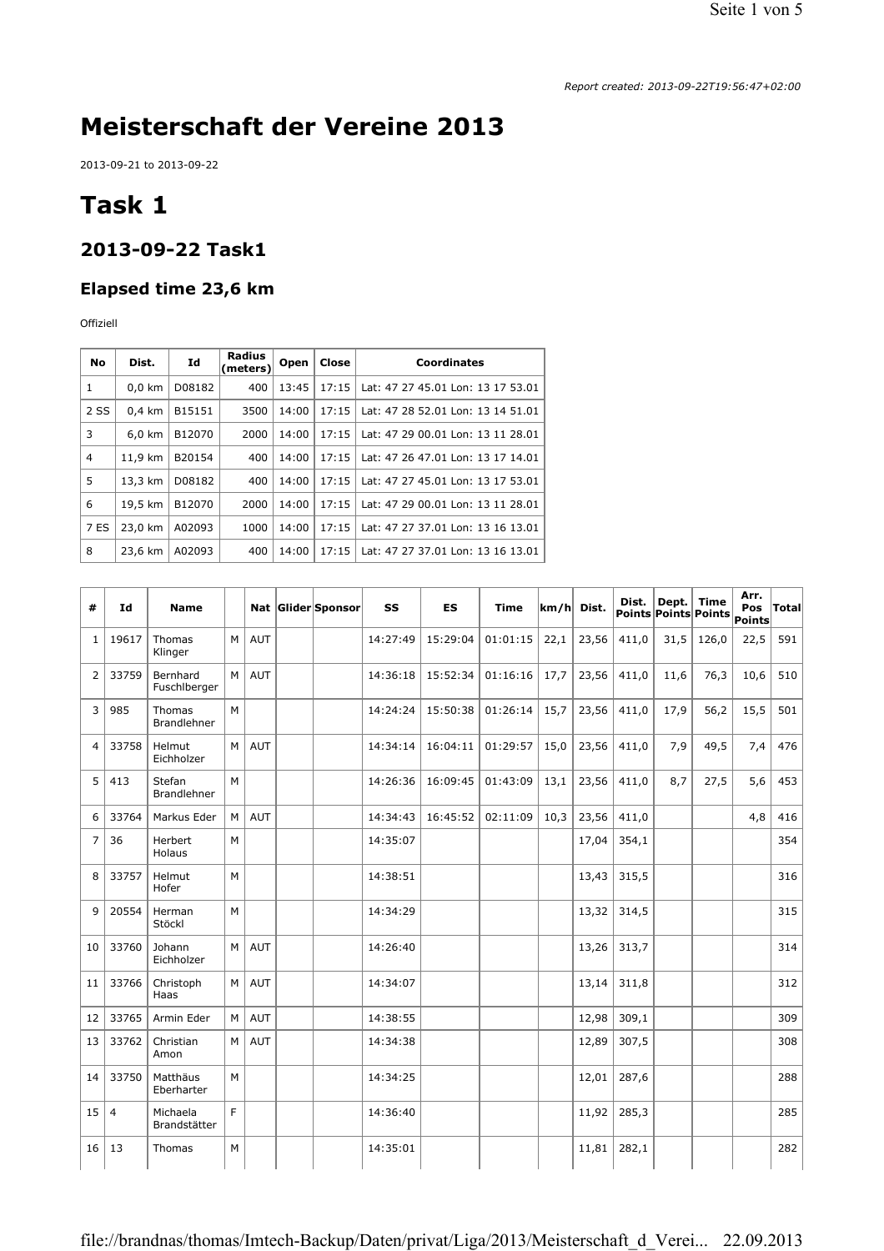# **Meisterschaft der Vereine 2013**

2013-09-21 to 2013-09-22

# **Task 1**

#### **2013-09-22 Task1**

#### **Elapsed time 23,6 km**

Offiziell

| <b>No</b> | Dist.            | Id     | Radius<br>(meters) | <b>Open</b> | Close | Coordinates                       |
|-----------|------------------|--------|--------------------|-------------|-------|-----------------------------------|
| 1         | $0,0$ km         | D08182 | 400                | 13:45       | 17:15 | Lat: 47 27 45.01 Lon: 13 17 53.01 |
| 2 SS      | $0.4 \text{ km}$ | B15151 | 3500               | 14:00       | 17:15 | Lat: 47 28 52.01 Lon: 13 14 51.01 |
| 3         | $6,0$ km         | B12070 | 2000               | 14:00       | 17:15 | Lat: 47 29 00.01 Lon: 13 11 28.01 |
| 4         | 11,9 km          | B20154 | 400                | 14:00       | 17:15 | Lat: 47 26 47.01 Lon: 13 17 14.01 |
| 5         | 13,3 km          | D08182 | 400                | 14:00       | 17:15 | Lat: 47 27 45.01 Lon: 13 17 53.01 |
| 6         | 19,5 km          | B12070 | 2000               | 14:00       | 17:15 | Lat: 47 29 00.01 Lon: 13 11 28.01 |
| 7 ES      | 23,0 km          | A02093 | 1000               | 14:00       | 17:15 | Lat: 47 27 37.01 Lon: 13 16 13.01 |
| 8         | 23,6 km          | A02093 | 400                | 14:00       | 17:15 | Lat: 47 27 37.01 Lon: 13 16 13.01 |

| #                       | Id             | <b>Name</b>                  |    |            | Nat Glider Sponsor | SS       | <b>ES</b> | <b>Time</b> | km/h | Dist. | Dist. | Dept. | Time<br>Points Points Points | Arr.<br><b>Pos</b><br>Points | Total |
|-------------------------|----------------|------------------------------|----|------------|--------------------|----------|-----------|-------------|------|-------|-------|-------|------------------------------|------------------------------|-------|
| $\mathbf{1}$            | 19617          | Thomas<br>Klinger            | M  | <b>AUT</b> |                    | 14:27:49 | 15:29:04  | 01:01:15    | 22,1 | 23,56 | 411,0 | 31,5  | 126,0                        | 22,5                         | 591   |
| 2                       | 33759          | Bernhard<br>Fuschlberger     | M  | <b>AUT</b> |                    | 14:36:18 | 15:52:34  | 01:16:16    | 17,7 | 23,56 | 411,0 | 11,6  | 76,3                         | 10,6                         | 510   |
| 3                       | 985            | Thomas<br><b>Brandlehner</b> | M  |            |                    | 14:24:24 | 15:50:38  | 01:26:14    | 15,7 | 23,56 | 411,0 | 17,9  | 56,2                         | 15,5                         | 501   |
| $\overline{\mathbf{A}}$ | 33758          | Helmut<br>Eichholzer         | M  | <b>AUT</b> |                    | 14:34:14 | 16:04:11  | 01:29:57    | 15,0 | 23,56 | 411,0 | 7,9   | 49,5                         | 7,4                          | 476   |
| 5                       | 413            | Stefan<br><b>Brandlehner</b> | М  |            |                    | 14:26:36 | 16:09:45  | 01:43:09    | 13,1 | 23,56 | 411.0 | 8.7   | 27,5                         | 5,6                          | 453   |
| 6                       | 33764          | Markus Eder                  | M  | <b>AUT</b> |                    | 14:34:43 | 16:45:52  | 02:11:09    | 10,3 | 23,56 | 411,0 |       |                              | 4,8                          | 416   |
| $\overline{7}$          | 36             | Herbert<br>Holaus            | M  |            |                    | 14:35:07 |           |             |      | 17,04 | 354,1 |       |                              |                              | 354   |
| 8                       | 33757          | Helmut<br>Hofer              | М  |            |                    | 14:38:51 |           |             |      | 13,43 | 315,5 |       |                              |                              | 316   |
| 9                       | 20554          | Herman<br>Stöckl             | М  |            |                    | 14:34:29 |           |             |      | 13,32 | 314,5 |       |                              |                              | 315   |
| 10                      | 33760          | Johann<br>Eichholzer         | M  | AUT        |                    | 14:26:40 |           |             |      | 13,26 | 313,7 |       |                              |                              | 314   |
| 11                      | 33766          | Christoph<br>Haas            | M  | <b>AUT</b> |                    | 14:34:07 |           |             |      | 13,14 | 311,8 |       |                              |                              | 312   |
| 12                      | 33765          | Armin Eder                   | M  | <b>AUT</b> |                    | 14:38:55 |           |             |      | 12,98 | 309,1 |       |                              |                              | 309   |
| 13                      | 33762          | Christian<br>Amon            | M  | AUT        |                    | 14:34:38 |           |             |      | 12,89 | 307,5 |       |                              |                              | 308   |
| 14                      | 33750          | Matthäus<br>Eberharter       | M  |            |                    | 14:34:25 |           |             |      | 12,01 | 287,6 |       |                              |                              | 288   |
| 15                      | $\overline{4}$ | Michaela<br>Brandstätter     | F. |            |                    | 14:36:40 |           |             |      | 11,92 | 285,3 |       |                              |                              | 285   |
| 16                      | 13             | Thomas                       | M  |            |                    | 14:35:01 |           |             |      | 11,81 | 282,1 |       |                              |                              | 282   |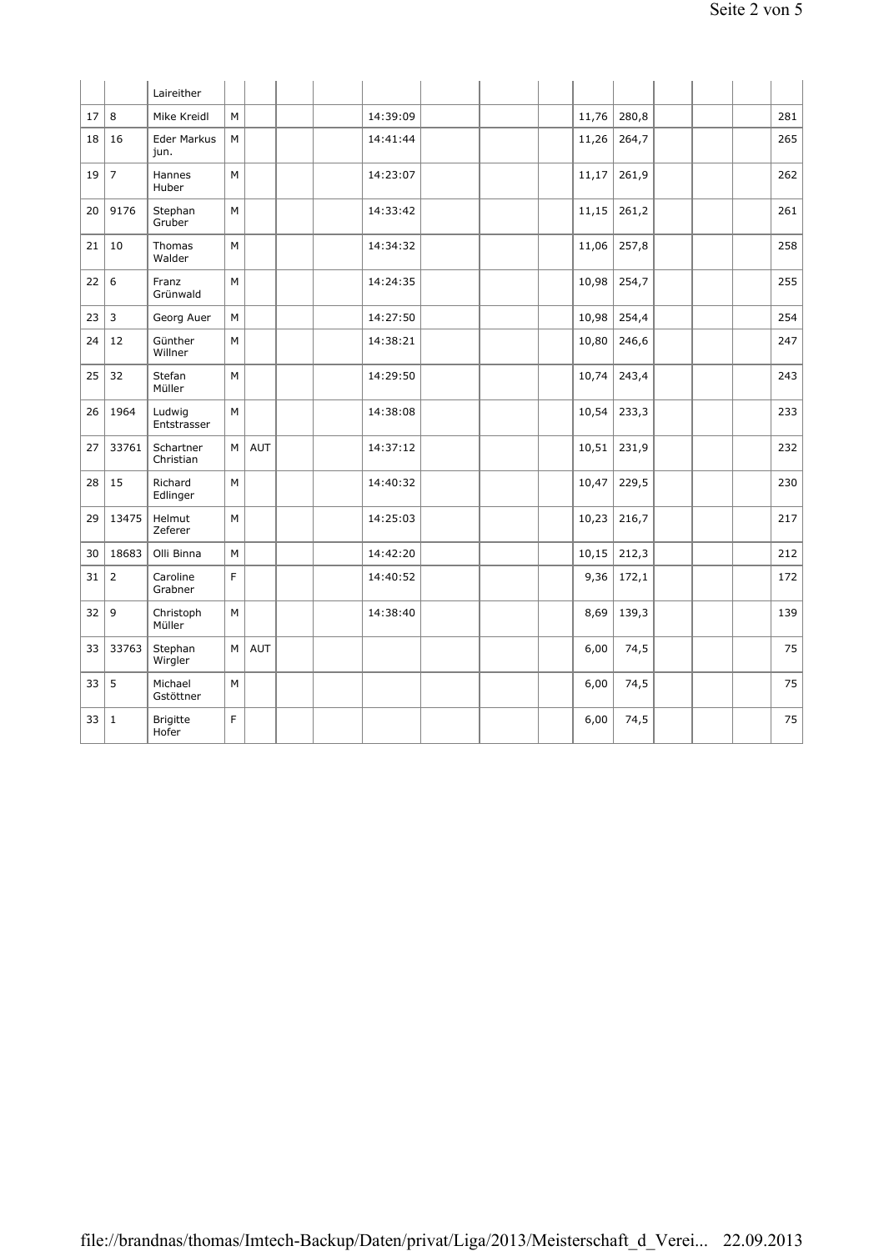|    |                | Laireither                 |   |            |  |          |  |       |       |  |     |
|----|----------------|----------------------------|---|------------|--|----------|--|-------|-------|--|-----|
| 17 | 8              | Mike Kreidl                | M |            |  | 14:39:09 |  | 11,76 | 280,8 |  | 281 |
| 18 | 16             | <b>Eder Markus</b><br>jun. | M |            |  | 14:41:44 |  | 11,26 | 264,7 |  | 265 |
| 19 | $\overline{7}$ | Hannes<br>Huber            | M |            |  | 14:23:07 |  | 11,17 | 261,9 |  | 262 |
| 20 | 9176           | Stephan<br>Gruber          | M |            |  | 14:33:42 |  | 11,15 | 261,2 |  | 261 |
| 21 | 10             | Thomas<br>Walder           | M |            |  | 14:34:32 |  | 11,06 | 257,8 |  | 258 |
| 22 | 6              | Franz<br>Grünwald          | M |            |  | 14:24:35 |  | 10,98 | 254,7 |  | 255 |
| 23 | $\overline{3}$ | Georg Auer                 | M |            |  | 14:27:50 |  | 10,98 | 254,4 |  | 254 |
| 24 | 12             | Günther<br>Willner         | M |            |  | 14:38:21 |  | 10,80 | 246,6 |  | 247 |
| 25 | 32             | Stefan<br>Müller           | M |            |  | 14:29:50 |  | 10,74 | 243,4 |  | 243 |
| 26 | 1964           | Ludwig<br>Entstrasser      | M |            |  | 14:38:08 |  | 10,54 | 233,3 |  | 233 |
| 27 | 33761          | Schartner<br>Christian     | M | AUT        |  | 14:37:12 |  | 10,51 | 231,9 |  | 232 |
| 28 | 15             | Richard<br>Edlinger        | M |            |  | 14:40:32 |  | 10,47 | 229,5 |  | 230 |
| 29 | 13475          | Helmut<br>Zeferer          | M |            |  | 14:25:03 |  | 10,23 | 216,7 |  | 217 |
| 30 | 18683          | Olli Binna                 | M |            |  | 14:42:20 |  | 10,15 | 212,3 |  | 212 |
| 31 | $\overline{2}$ | Caroline<br>Grabner        | F |            |  | 14:40:52 |  | 9,36  | 172,1 |  | 172 |
| 32 | 9              | Christoph<br>Müller        | М |            |  | 14:38:40 |  | 8,69  | 139,3 |  | 139 |
| 33 | 33763          | Stephan<br>Wirgler         | M | <b>AUT</b> |  |          |  | 6,00  | 74,5  |  | 75  |
| 33 | 5              | Michael<br>Gstöttner       | M |            |  |          |  | 6,00  | 74,5  |  | 75  |
| 33 | $\mathbf 1$    | <b>Brigitte</b><br>Hofer   | F |            |  |          |  | 6,00  | 74,5  |  | 75  |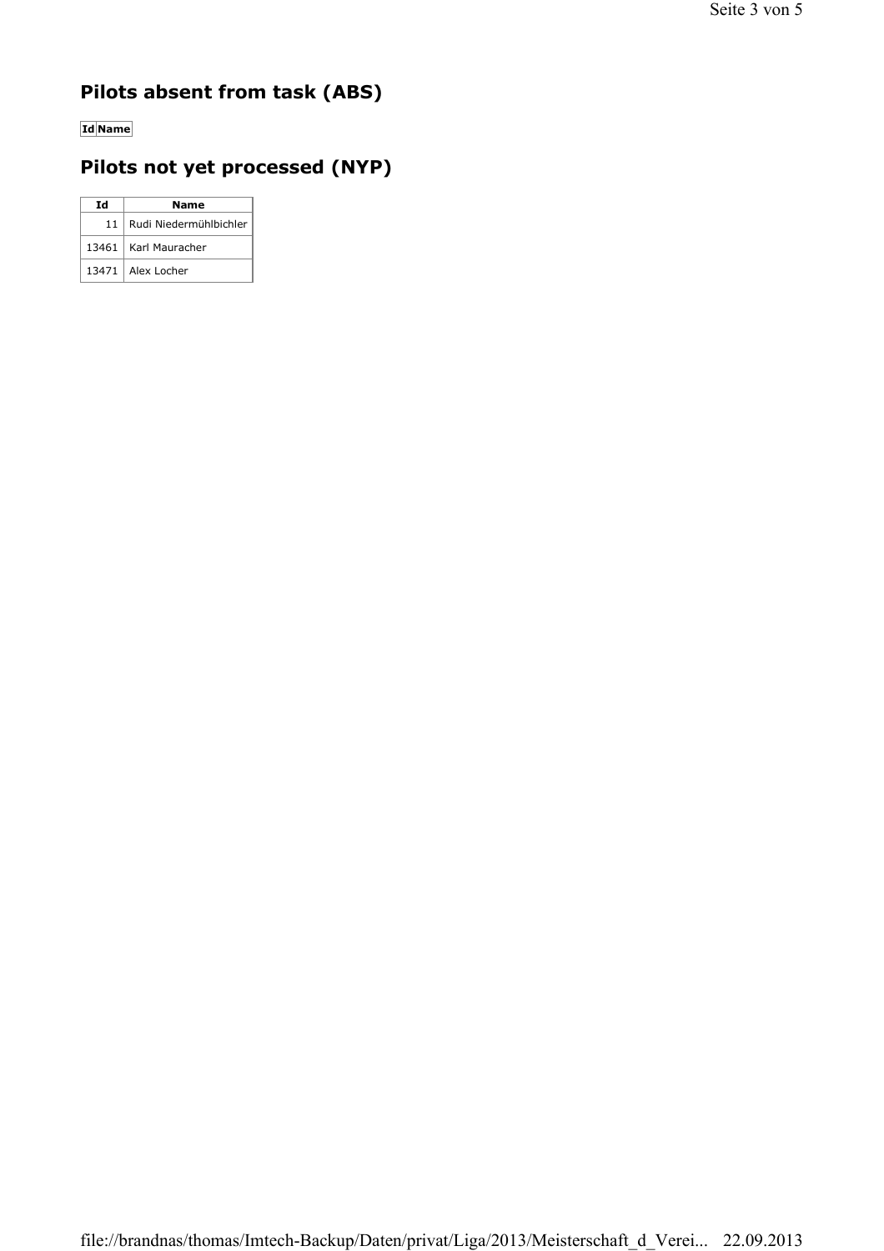### **Pilots absent from task (ABS)**

**Id Name**

### **Pilots not yet processed (NYP)**

| Ιd              | <b>Name</b>            |  |  |  |  |  |
|-----------------|------------------------|--|--|--|--|--|
| 11 <sub>1</sub> | Rudi Niedermühlbichler |  |  |  |  |  |
|                 | 13461   Karl Mauracher |  |  |  |  |  |
|                 | 13471   Alex Locher    |  |  |  |  |  |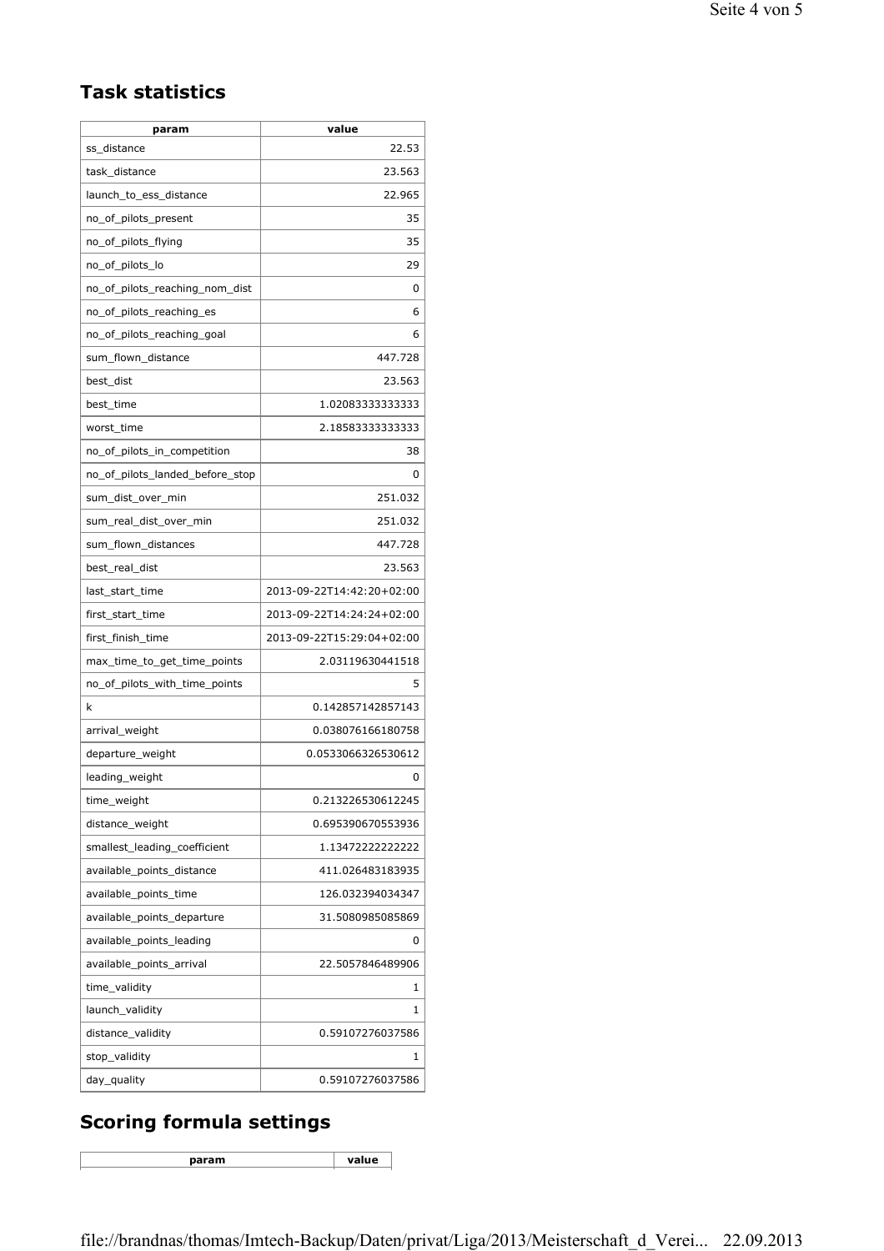#### **Task statistics**

| param                           | value                     |
|---------------------------------|---------------------------|
| ss_distance                     | 22.53                     |
| task_distance                   | 23.563                    |
| launch_to_ess_distance          | 22.965                    |
| no_of_pilots_present            | 35                        |
| no_of_pilots_flying             | 35                        |
| no_of_pilots_lo                 | 29                        |
| no_of_pilots_reaching_nom_dist  | 0                         |
| no of pilots reaching es        | 6                         |
| no of pilots reaching goal      | 6                         |
| sum flown distance              | 447.728                   |
| best dist                       | 23.563                    |
| best_time                       | 1.02083333333333          |
| worst_time                      | 2.18583333333333          |
| no_of_pilots_in_competition     | 38                        |
| no of pilots landed before stop | 0                         |
| sum_dist_over_min               | 251.032                   |
| sum_real_dist_over_min          | 251.032                   |
| sum_flown_distances             | 447.728                   |
| best_real_dist                  | 23.563                    |
| last_start_time                 | 2013-09-22T14:42:20+02:00 |
| first_start_time                | 2013-09-22T14:24:24+02:00 |
| first_finish_time               | 2013-09-22T15:29:04+02:00 |
| max_time_to_get_time_points     | 2.03119630441518          |
| no_of_pilots_with_time_points   | 5                         |
| k                               | 0.142857142857143         |
| arrival weight                  | 0.038076166180758         |
| departure_weight                | 0.0533066326530612        |
| leading weight                  | 0                         |
| time_weight                     | 0.213226530612245         |
| distance_weight                 | 0.695390670553936         |
| smallest_leading_coefficient    | 1.13472222222222          |
| available points distance       | 411.026483183935          |
| available_points_time           | 126.032394034347          |
| available_points_departure      | 31.5080985085869          |
| available_points_leading        | 0                         |
| available_points_arrival        | 22.5057846489906          |
| time_validity                   | 1                         |
| launch_validity                 | 1                         |
| distance_validity               | 0.59107276037586          |
| stop_validity                   | 1                         |
| day_quality                     | 0.59107276037586          |

## **Scoring formula settings**

**param value**